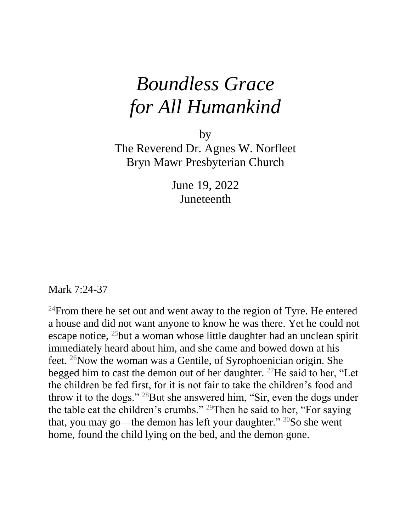## *Boundless Grace for All Humankind*

by

The Reverend Dr. Agnes W. Norfleet Bryn Mawr Presbyterian Church

> June 19, 2022 Juneteenth

Mark 7:24-37

 $24$ From there he set out and went away to the region of Tyre. He entered a house and did not want anyone to know he was there. Yet he could not escape notice,  $^{25}$ but a woman whose little daughter had an unclean spirit immediately heard about him, and she came and bowed down at his feet. <sup>26</sup>Now the woman was a Gentile, of Syrophoenician origin. She begged him to cast the demon out of her daughter. <sup>27</sup>He said to her, "Let the children be fed first, for it is not fair to take the children's food and throw it to the dogs." <sup>28</sup>But she answered him, "Sir, even the dogs under the table eat the children's crumbs." <sup>29</sup>Then he said to her, "For saying that, you may go—the demon has left your daughter."  $30$ So she went home, found the child lying on the bed, and the demon gone.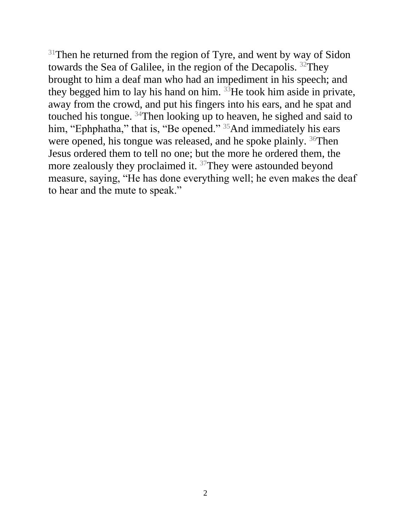$31$ Then he returned from the region of Tyre, and went by way of Sidon towards the Sea of Galilee, in the region of the Decapolis. <sup>32</sup>They brought to him a deaf man who had an impediment in his speech; and they begged him to lay his hand on him.  $33$  He took him aside in private, away from the crowd, and put his fingers into his ears, and he spat and touched his tongue. <sup>34</sup>Then looking up to heaven, he sighed and said to him, "Ephphatha," that is, "Be opened." <sup>35</sup>And immediately his ears were opened, his tongue was released, and he spoke plainly. <sup>36</sup>Then Jesus ordered them to tell no one; but the more he ordered them, the more zealously they proclaimed it. <sup>37</sup>They were astounded beyond measure, saying, "He has done everything well; he even makes the deaf to hear and the mute to speak."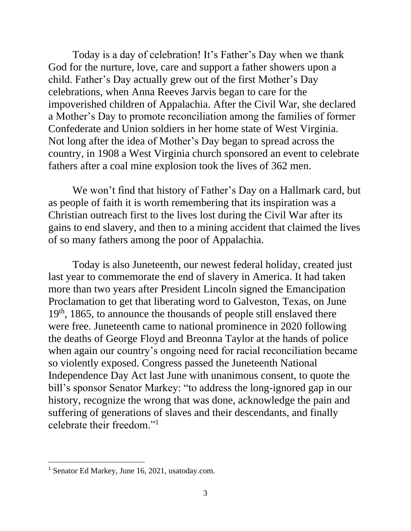Today is a day of celebration! It's Father's Day when we thank God for the nurture, love, care and support a father showers upon a child. Father's Day actually grew out of the first Mother's Day celebrations, when Anna Reeves Jarvis began to care for the impoverished children of Appalachia. After the Civil War, she declared a Mother's Day to promote reconciliation among the families of former Confederate and Union soldiers in her home state of West Virginia. Not long after the idea of Mother's Day began to spread across the country, in 1908 a West Virginia church sponsored an event to celebrate fathers after a coal mine explosion took the lives of 362 men.

 We won't find that history of Father's Day on a Hallmark card, but as people of faith it is worth remembering that its inspiration was a Christian outreach first to the lives lost during the Civil War after its gains to end slavery, and then to a mining accident that claimed the lives of so many fathers among the poor of Appalachia.

Today is also Juneteenth, our newest federal holiday, created just last year to commemorate the end of slavery in America. It had taken more than two years after President Lincoln signed the Emancipation Proclamation to get that liberating word to Galveston, Texas, on June 19<sup>th</sup>, 1865, to announce the thousands of people still enslaved there were free. Juneteenth came to national prominence in 2020 following the deaths of George Floyd and Breonna Taylor at the hands of police when again our country's ongoing need for racial reconciliation became so violently exposed. Congress passed the Juneteenth National Independence Day Act last June with unanimous consent, to quote the bill's sponsor Senator Markey: "to address the long-ignored gap in our history, recognize the wrong that was done, acknowledge the pain and suffering of generations of slaves and their descendants, and finally celebrate their freedom."<sup>1</sup>

<sup>1</sup> Senator Ed Markey, June 16, 2021, usatoday.com.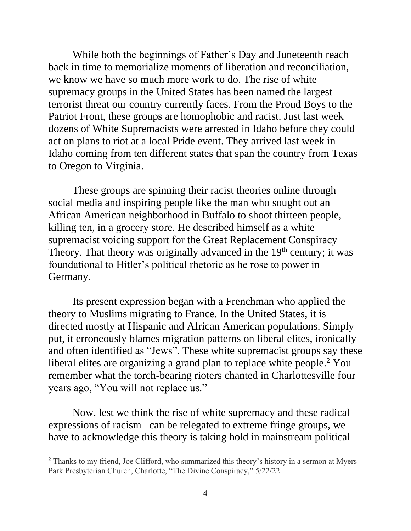While both the beginnings of Father's Day and Juneteenth reach back in time to memorialize moments of liberation and reconciliation, we know we have so much more work to do. The rise of white supremacy groups in the United States has been named the largest terrorist threat our country currently faces. From the Proud Boys to the Patriot Front, these groups are homophobic and racist. Just last week dozens of White Supremacists were arrested in Idaho before they could act on plans to riot at a local Pride event. They arrived last week in Idaho coming from ten different states that span the country from Texas to Oregon to Virginia.

 These groups are spinning their racist theories online through social media and inspiring people like the man who sought out an African American neighborhood in Buffalo to shoot thirteen people, killing ten, in a grocery store. He described himself as a white supremacist voicing support for the Great Replacement Conspiracy Theory. That theory was originally advanced in the  $19<sup>th</sup>$  century; it was foundational to Hitler's political rhetoric as he rose to power in Germany.

 Its present expression began with a Frenchman who applied the theory to Muslims migrating to France. In the United States, it is directed mostly at Hispanic and African American populations. Simply put, it erroneously blames migration patterns on liberal elites, ironically and often identified as "Jews". These white supremacist groups say these liberal elites are organizing a grand plan to replace white people.<sup>2</sup> You remember what the torch-bearing rioters chanted in Charlottesville four years ago, "You will not replace us."

Now, lest we think the rise of white supremacy and these radical expressions of racism can be relegated to extreme fringe groups, we have to acknowledge this theory is taking hold in mainstream political

<sup>&</sup>lt;sup>2</sup> Thanks to my friend, Joe Clifford, who summarized this theory's history in a sermon at Myers Park Presbyterian Church, Charlotte, "The Divine Conspiracy," 5/22/22.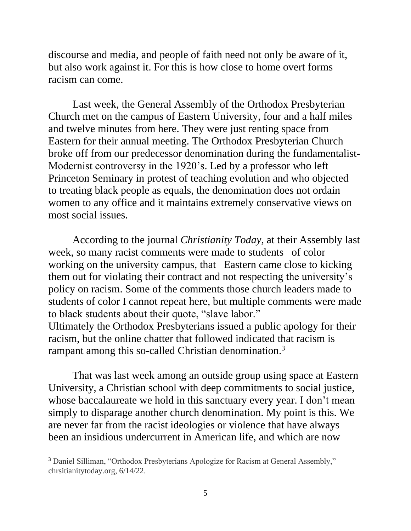discourse and media, and people of faith need not only be aware of it, but also work against it. For this is how close to home overt forms racism can come.

 Last week, the General Assembly of the Orthodox Presbyterian Church met on the campus of Eastern University, four and a half miles and twelve minutes from here. They were just renting space from Eastern for their annual meeting. The Orthodox Presbyterian Church broke off from our predecessor denomination during the fundamentalist-Modernist controversy in the 1920's. Led by a professor who left Princeton Seminary in protest of teaching evolution and who objected to treating black people as equals, the denomination does not ordain women to any office and it maintains extremely conservative views on most social issues.

According to the journal *Christianity Today,* at their Assembly last week, so many racist comments were made to students of color working on the university campus, that Eastern came close to kicking them out for violating their contract and not respecting the university's policy on racism. Some of the comments those church leaders made to students of color I cannot repeat here, but multiple comments were made to black students about their quote, "slave labor." Ultimately the Orthodox Presbyterians issued a public apology for their racism, but the online chatter that followed indicated that racism is rampant among this so-called Christian denomination.<sup>3</sup>

 That was last week among an outside group using space at Eastern University, a Christian school with deep commitments to social justice, whose baccalaureate we hold in this sanctuary every year. I don't mean simply to disparage another church denomination. My point is this. We are never far from the racist ideologies or violence that have always been an insidious undercurrent in American life, and which are now

<sup>3</sup> Daniel Silliman, "Orthodox Presbyterians Apologize for Racism at General Assembly," chrsitianitytoday.org, 6/14/22.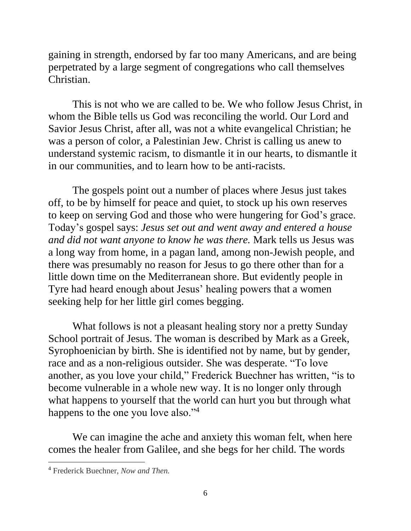gaining in strength, endorsed by far too many Americans, and are being perpetrated by a large segment of congregations who call themselves Christian.

 This is not who we are called to be. We who follow Jesus Christ, in whom the Bible tells us God was reconciling the world. Our Lord and Savior Jesus Christ, after all, was not a white evangelical Christian; he was a person of color, a Palestinian Jew. Christ is calling us anew to understand systemic racism, to dismantle it in our hearts, to dismantle it in our communities, and to learn how to be anti-racists.

 The gospels point out a number of places where Jesus just takes off, to be by himself for peace and quiet, to stock up his own reserves to keep on serving God and those who were hungering for God's grace. Today's gospel says: *Jesus set out and went away and entered a house and did not want anyone to know he was there.* Mark tells us Jesus was a long way from home, in a pagan land, among non-Jewish people, and there was presumably no reason for Jesus to go there other than for a little down time on the Mediterranean shore. But evidently people in Tyre had heard enough about Jesus' healing powers that a women seeking help for her little girl comes begging.

 What follows is not a pleasant healing story nor a pretty Sunday School portrait of Jesus. The woman is described by Mark as a Greek, Syrophoenician by birth. She is identified not by name, but by gender, race and as a non-religious outsider. She was desperate. "To love another, as you love your child," Frederick Buechner has written, "is to become vulnerable in a whole new way. It is no longer only through what happens to yourself that the world can hurt you but through what happens to the one you love also."<sup>4</sup>

We can imagine the ache and anxiety this woman felt, when here comes the healer from Galilee, and she begs for her child. The words

<sup>4</sup> Frederick Buechner, *Now and Then.*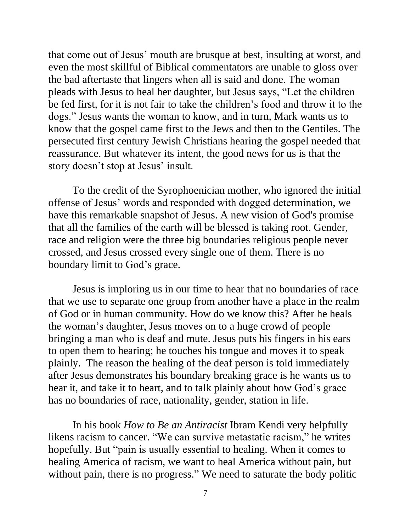that come out of Jesus' mouth are brusque at best, insulting at worst, and even the most skillful of Biblical commentators are unable to gloss over the bad aftertaste that lingers when all is said and done. The woman pleads with Jesus to heal her daughter, but Jesus says, "Let the children be fed first, for it is not fair to take the children's food and throw it to the dogs." Jesus wants the woman to know, and in turn, Mark wants us to know that the gospel came first to the Jews and then to the Gentiles. The persecuted first century Jewish Christians hearing the gospel needed that reassurance. But whatever its intent, the good news for us is that the story doesn't stop at Jesus' insult.

To the credit of the Syrophoenician mother, who ignored the initial offense of Jesus' words and responded with dogged determination, we have this remarkable snapshot of Jesus. A new vision of God's promise that all the families of the earth will be blessed is taking root. Gender, race and religion were the three big boundaries religious people never crossed, and Jesus crossed every single one of them. There is no boundary limit to God's grace.

Jesus is imploring us in our time to hear that no boundaries of race that we use to separate one group from another have a place in the realm of God or in human community. How do we know this? After he heals the woman's daughter, Jesus moves on to a huge crowd of people bringing a man who is deaf and mute. Jesus puts his fingers in his ears to open them to hearing; he touches his tongue and moves it to speak plainly. The reason the healing of the deaf person is told immediately after Jesus demonstrates his boundary breaking grace is he wants us to hear it, and take it to heart, and to talk plainly about how God's grace has no boundaries of race, nationality, gender, station in life.

 In his book *How to Be an Antiracist* Ibram Kendi very helpfully likens racism to cancer. "We can survive metastatic racism," he writes hopefully. But "pain is usually essential to healing. When it comes to healing America of racism, we want to heal America without pain, but without pain, there is no progress." We need to saturate the body politic